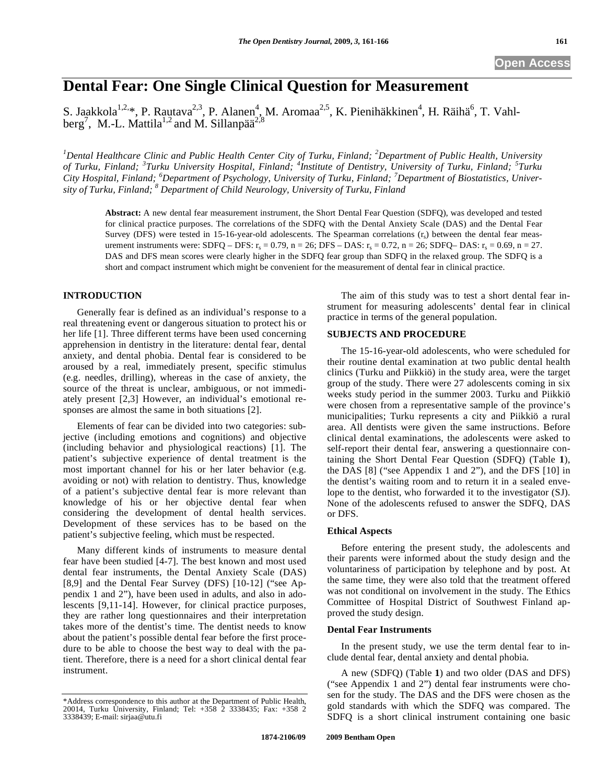# **Dental Fear: One Single Clinical Question for Measurement**

S. Jaakkola<sup>1,2,\*</sup>, P. Rautava<sup>2,3</sup>, P. Alanen<sup>4</sup>, M. Aromaa<sup>2,5</sup>, K. Pienihäkkinen<sup>4</sup>, H. Räihä<sup>6</sup>, T. Vahlberg<sup>7</sup>, M.-L. Mattila<sup>1,2</sup> and M. Sillanpää<sup>2,8</sup>

<sup>1</sup>Dental Healthcare Clinic and Public Health Center City of Turku, Finland; <sup>2</sup>Department of Public Health, University of Turku, Finland; <sup>3</sup>Turku University Hospital, Finland; <sup>4</sup>Institute of Dentistry, University of Turku, Finland; <sup>5</sup>Turku *City Hospital, Finland; <sup>6</sup> Department of Psychology, University of Turku, Finland; <sup>7</sup> Department of Biostatistics, University of Turku, Finland; 8 Department of Child Neurology, University of Turku, Finland* 

**Abstract:** A new dental fear measurement instrument, the Short Dental Fear Question (SDFQ), was developed and tested for clinical practice purposes. The correlations of the SDFQ with the Dental Anxiety Scale (DAS) and the Dental Fear Survey (DFS) were tested in 15-16-year-old adolescents. The Spearman correlations  $(r<sub>s</sub>)$  between the dental fear measurement instruments were: SDFQ – DFS:  $r_s = 0.79$ , n = 26; DFS – DAS:  $r_s = 0.72$ , n = 26; SDFQ– DAS:  $r_s = 0.69$ , n = 27. DAS and DFS mean scores were clearly higher in the SDFQ fear group than SDFQ in the relaxed group. The SDFQ is a short and compact instrument which might be convenient for the measurement of dental fear in clinical practice.

## **INTRODUCTION**

Generally fear is defined as an individual's response to a real threatening event or dangerous situation to protect his or her life [1]. Three different terms have been used concerning apprehension in dentistry in the literature: dental fear, dental anxiety, and dental phobia. Dental fear is considered to be aroused by a real, immediately present, specific stimulus (e.g. needles, drilling), whereas in the case of anxiety, the source of the threat is unclear, ambiguous, or not immediately present [2,3] However, an individual's emotional responses are almost the same in both situations [2].

Elements of fear can be divided into two categories: subjective (including emotions and cognitions) and objective (including behavior and physiological reactions) [1]. The patient's subjective experience of dental treatment is the most important channel for his or her later behavior (e.g. avoiding or not) with relation to dentistry. Thus, knowledge of a patient's subjective dental fear is more relevant than knowledge of his or her objective dental fear when considering the development of dental health services. Development of these services has to be based on the patient's subjective feeling, which must be respected.

Many different kinds of instruments to measure dental fear have been studied [4-7]. The best known and most used dental fear instruments, the Dental Anxiety Scale (DAS) [8,9] and the Dental Fear Survey (DFS) [10-12] ("see Appendix 1 and 2"), have been used in adults, and also in adolescents [9,11-14]. However, for clinical practice purposes, they are rather long questionnaires and their interpretation takes more of the dentist's time. The dentist needs to know about the patient's possible dental fear before the first procedure to be able to choose the best way to deal with the patient. Therefore, there is a need for a short clinical dental fear instrument.

The aim of this study was to test a short dental fear instrument for measuring adolescents' dental fear in clinical practice in terms of the general population.

#### **SUBJECTS AND PROCEDURE**

The 15-16-year-old adolescents, who were scheduled for their routine dental examination at two public dental health clinics (Turku and Piikkiö) in the study area, were the target group of the study. There were 27 adolescents coming in six weeks study period in the summer 2003. Turku and Piikkiö were chosen from a representative sample of the province's municipalities; Turku represents a city and Piikkiö a rural area. All dentists were given the same instructions. Before clinical dental examinations, the adolescents were asked to self-report their dental fear, answering a questionnaire containing the Short Dental Fear Question (SDFQ) (Table **1**), the DAS [8] ("see Appendix 1 and 2"), and the DFS [10] in the dentist's waiting room and to return it in a sealed envelope to the dentist, who forwarded it to the investigator (SJ). None of the adolescents refused to answer the SDFQ, DAS or DFS.

#### **Ethical Aspects**

Before entering the present study, the adolescents and their parents were informed about the study design and the voluntariness of participation by telephone and by post. At the same time, they were also told that the treatment offered was not conditional on involvement in the study. The Ethics Committee of Hospital District of Southwest Finland approved the study design.

#### **Dental Fear Instruments**

In the present study, we use the term dental fear to include dental fear, dental anxiety and dental phobia.

A new (SDFQ) (Table **1**) and two older (DAS and DFS) ("see Appendix 1 and 2") dental fear instruments were chosen for the study. The DAS and the DFS were chosen as the gold standards with which the SDFQ was compared. The SDFQ is a short clinical instrument containing one basic

<sup>\*</sup>Address correspondence to this author at the Department of Public Health, 20014, Turku University, Finland; Tel: +358 2 3338435; Fax: +358 2 3338439; E-mail: sirjaa@utu.fi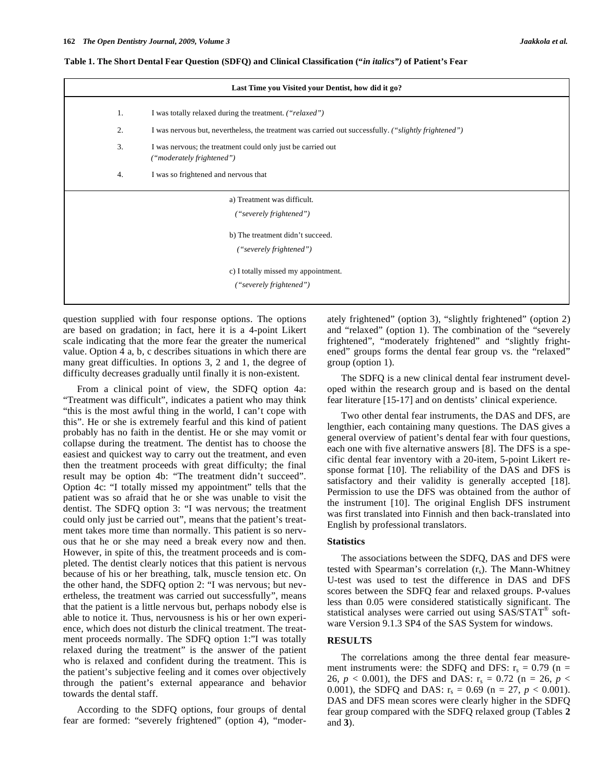|    | Last Time you Visited your Dentist, how did it go?                                                   |  |  |  |  |  |
|----|------------------------------------------------------------------------------------------------------|--|--|--|--|--|
| 1. | I was totally relaxed during the treatment. ("relaxed")                                              |  |  |  |  |  |
| 2. | I was nervous but, nevertheless, the treatment was carried out successfully. ("slightly frightened") |  |  |  |  |  |
| 3. | I was nervous; the treatment could only just be carried out<br>("moderately frightened")             |  |  |  |  |  |
| 4. | I was so frightened and nervous that                                                                 |  |  |  |  |  |
|    | a) Treatment was difficult.<br>("severely frightened")                                               |  |  |  |  |  |
|    | b) The treatment didn't succeed.<br>("severely frightened")                                          |  |  |  |  |  |
|    | c) I totally missed my appointment.<br>("severely frightened")                                       |  |  |  |  |  |

**Table 1. The Short Dental Fear Question (SDFQ) and Clinical Classification ("***in italics")* **of Patient's Fear** 

question supplied with four response options. The options are based on gradation; in fact, here it is a 4-point Likert scale indicating that the more fear the greater the numerical value. Option 4 a, b, c describes situations in which there are many great difficulties. In options 3, 2 and 1, the degree of difficulty decreases gradually until finally it is non-existent.

From a clinical point of view, the SDFQ option 4a: "Treatment was difficult", indicates a patient who may think "this is the most awful thing in the world, I can't cope with this". He or she is extremely fearful and this kind of patient probably has no faith in the dentist. He or she may vomit or collapse during the treatment. The dentist has to choose the easiest and quickest way to carry out the treatment, and even then the treatment proceeds with great difficulty; the final result may be option 4b: "The treatment didn't succeed". Option 4c: "I totally missed my appointment" tells that the patient was so afraid that he or she was unable to visit the dentist. The SDFQ option 3: "I was nervous; the treatment could only just be carried out", means that the patient's treatment takes more time than normally. This patient is so nervous that he or she may need a break every now and then. However, in spite of this, the treatment proceeds and is completed. The dentist clearly notices that this patient is nervous because of his or her breathing, talk, muscle tension etc. On the other hand, the SDFQ option 2: "I was nervous; but nevertheless, the treatment was carried out successfully", means that the patient is a little nervous but, perhaps nobody else is able to notice it. Thus, nervousness is his or her own experience, which does not disturb the clinical treatment. The treatment proceeds normally. The SDFQ option 1:"I was totally relaxed during the treatment" is the answer of the patient who is relaxed and confident during the treatment. This is the patient's subjective feeling and it comes over objectively through the patient's external appearance and behavior towards the dental staff.

According to the SDFQ options, four groups of dental fear are formed: "severely frightened" (option 4), "moderately frightened" (option 3), "slightly frightened" (option 2) and "relaxed" (option 1). The combination of the "severely frightened", "moderately frightened" and "slightly frightened" groups forms the dental fear group vs. the "relaxed" group (option 1).

The SDFQ is a new clinical dental fear instrument developed within the research group and is based on the dental fear literature [15-17] and on dentists' clinical experience.

Two other dental fear instruments, the DAS and DFS, are lengthier, each containing many questions. The DAS gives a general overview of patient's dental fear with four questions, each one with five alternative answers [8]. The DFS is a specific dental fear inventory with a 20-item, 5-point Likert response format [10]. The reliability of the DAS and DFS is satisfactory and their validity is generally accepted [18]. Permission to use the DFS was obtained from the author of the instrument [10]. The original English DFS instrument was first translated into Finnish and then back-translated into English by professional translators.

#### **Statistics**

The associations between the SDFQ, DAS and DFS were tested with Spearman's correlation  $(r_s)$ . The Mann-Whitney U-test was used to test the difference in DAS and DFS scores between the SDFQ fear and relaxed groups. P-values less than 0.05 were considered statistically significant. The statistical analyses were carried out using SAS/STAT® software Version 9.1.3 SP4 of the SAS System for windows.

### **RESULTS**

The correlations among the three dental fear measurement instruments were: the SDFQ and DFS:  $r_s = 0.79$  (n = 26,  $p < 0.001$ ), the DFS and DAS:  $r_s = 0.72$  (n = 26,  $p <$ 0.001), the SDFQ and DAS:  $r_s = 0.69$  (n = 27, p < 0.001). DAS and DFS mean scores were clearly higher in the SDFQ fear group compared with the SDFQ relaxed group (Tables **2** and **3**).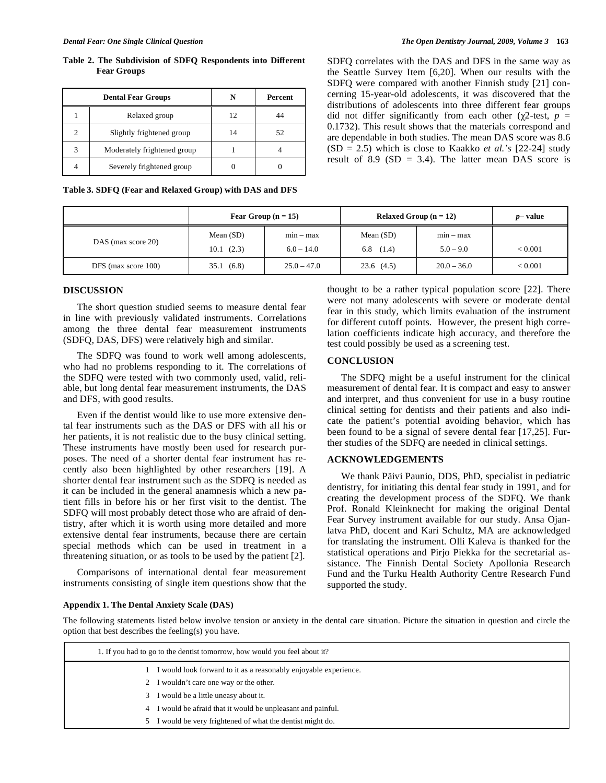**Table 2. The Subdivision of SDFQ Respondents into Different Fear Groups** 

|   | <b>Dental Fear Groups</b>   |    | <b>Percent</b> |  |  |
|---|-----------------------------|----|----------------|--|--|
|   | Relaxed group               | 12 |                |  |  |
| 2 | Slightly frightened group   | 14 | 52             |  |  |
| 3 | Moderately frightened group |    |                |  |  |
|   | Severely frightened group   |    |                |  |  |

**Table 3. SDFQ (Fear and Relaxed Group) with DAS and DFS** 

SDFQ correlates with the DAS and DFS in the same way as the Seattle Survey Item [6,20]. When our results with the SDFQ were compared with another Finnish study [21] concerning 15-year-old adolescents, it was discovered that the distributions of adolescents into three different fear groups did not differ significantly from each other ( $\chi$ 2-test,  $p =$ 0.1732). This result shows that the materials correspond and are dependable in both studies. The mean DAS score was 8.6 (SD = 2.5) which is close to Kaakko *et al.'s* [22-24] study result of 8.9  $(SD = 3.4)$ . The latter mean DAS score is

|                     | Fear Group $(n = 15)$ |               | Relaxed Group $(n = 12)$ | $p$ – value   |         |
|---------------------|-----------------------|---------------|--------------------------|---------------|---------|
| DAS (max score 20)  | Mean $(SD)$           | $min - max$   | Mean $(SD)$              | $min - max$   |         |
|                     | 10.1(2.3)             | $6.0 - 14.0$  | 6.8 $(1.4)$              | $5.0 - 9.0$   | < 0.001 |
| DFS (max score 100) | (6.8)<br>35.1         | $25.0 - 47.0$ | 23.6(4.5)                | $20.0 - 36.0$ | < 0.001 |

#### **DISCUSSION**

The short question studied seems to measure dental fear in line with previously validated instruments. Correlations among the three dental fear measurement instruments (SDFQ, DAS, DFS) were relatively high and similar.

The SDFQ was found to work well among adolescents, who had no problems responding to it. The correlations of the SDFQ were tested with two commonly used, valid, reliable, but long dental fear measurement instruments, the DAS and DFS, with good results.

Even if the dentist would like to use more extensive dental fear instruments such as the DAS or DFS with all his or her patients, it is not realistic due to the busy clinical setting. These instruments have mostly been used for research purposes. The need of a shorter dental fear instrument has recently also been highlighted by other researchers [19]. A shorter dental fear instrument such as the SDFQ is needed as it can be included in the general anamnesis which a new patient fills in before his or her first visit to the dentist. The SDFQ will most probably detect those who are afraid of dentistry, after which it is worth using more detailed and more extensive dental fear instruments, because there are certain special methods which can be used in treatment in a threatening situation, or as tools to be used by the patient [2].

Comparisons of international dental fear measurement instruments consisting of single item questions show that the thought to be a rather typical population score [22]. There were not many adolescents with severe or moderate dental fear in this study, which limits evaluation of the instrument for different cutoff points. However, the present high correlation coefficients indicate high accuracy, and therefore the test could possibly be used as a screening test.

#### **CONCLUSION**

The SDFQ might be a useful instrument for the clinical measurement of dental fear. It is compact and easy to answer and interpret, and thus convenient for use in a busy routine clinical setting for dentists and their patients and also indicate the patient's potential avoiding behavior, which has been found to be a signal of severe dental fear [17,25]. Further studies of the SDFQ are needed in clinical settings.

### **ACKNOWLEDGEMENTS**

We thank Päivi Paunio, DDS, PhD, specialist in pediatric dentistry, for initiating this dental fear study in 1991, and for creating the development process of the SDFQ. We thank Prof. Ronald Kleinknecht for making the original Dental Fear Survey instrument available for our study. Ansa Ojanlatva PhD, docent and Kari Schultz, MA are acknowledged for translating the instrument. Olli Kaleva is thanked for the statistical operations and Pirjo Piekka for the secretarial assistance. The Finnish Dental Society Apollonia Research Fund and the Turku Health Authority Centre Research Fund supported the study.

#### **Appendix 1. The Dental Anxiety Scale (DAS)**

The following statements listed below involve tension or anxiety in the dental care situation. Picture the situation in question and circle the option that best describes the feeling(s) you have.

| 1. If you had to go to the dentist tomorrow, how would you feel about it? |  |  |  |  |
|---------------------------------------------------------------------------|--|--|--|--|
| I would look forward to it as a reasonably enjoyable experience.          |  |  |  |  |
| 2 I wouldn't care one way or the other.                                   |  |  |  |  |
| I would be a little uneasy about it.<br>3                                 |  |  |  |  |
| 4 I would be afraid that it would be unpleasant and painful.              |  |  |  |  |
| I would be very frightened of what the dentist might do.<br>5.            |  |  |  |  |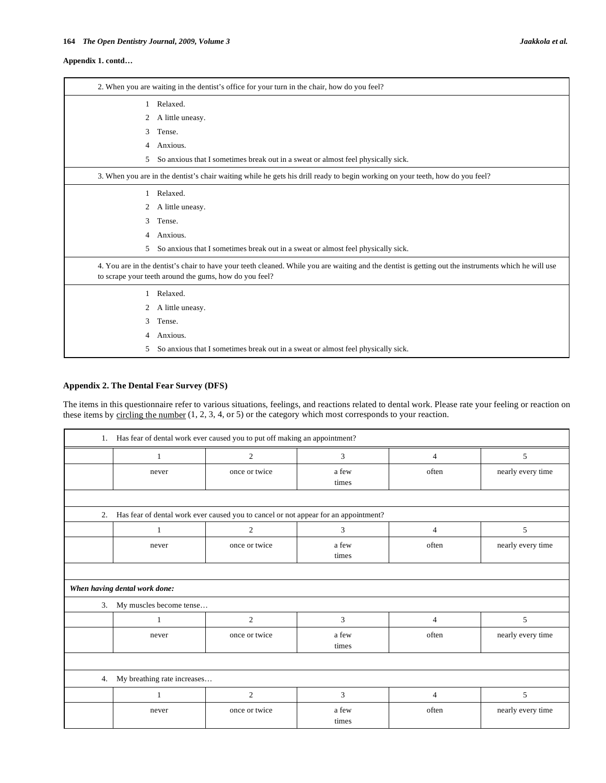#### **Appendix 1. contd…**

|   | 2. When you are waiting in the dentist's office for your turn in the chair, how do you feel?                                                                                                                   |
|---|----------------------------------------------------------------------------------------------------------------------------------------------------------------------------------------------------------------|
|   | 1 Relaxed.                                                                                                                                                                                                     |
| 2 | A little uneasy.                                                                                                                                                                                               |
| 3 | Tense.                                                                                                                                                                                                         |
| 4 | Anxious.                                                                                                                                                                                                       |
| 5 | So anxious that I sometimes break out in a sweat or almost feel physically sick.                                                                                                                               |
|   | 3. When you are in the dentist's chair waiting while he gets his drill ready to begin working on your teeth, how do you feel?                                                                                  |
|   | Relaxed.                                                                                                                                                                                                       |
| 2 | A little uneasy.                                                                                                                                                                                               |
| 3 | Tense.                                                                                                                                                                                                         |
| 4 | Anxious.                                                                                                                                                                                                       |
| 5 | So anxious that I sometimes break out in a sweat or almost feel physically sick.                                                                                                                               |
|   | 4. You are in the dentist's chair to have your teeth cleaned. While you are waiting and the dentist is getting out the instruments which he will use<br>to scrape your teeth around the gums, how do you feel? |
| 1 | Relaxed.                                                                                                                                                                                                       |
| 2 | A little uneasy.                                                                                                                                                                                               |
| 3 | Tense.                                                                                                                                                                                                         |
| 4 | Anxious.                                                                                                                                                                                                       |
| 5 | So anxious that I sometimes break out in a sweat or almost feel physically sick.                                                                                                                               |

## **Appendix 2. The Dental Fear Survey (DFS)**

The items in this questionnaire refer to various situations, feelings, and reactions related to dental work. Please rate your feeling or reaction on these items by circling the number (1, 2, 3, 4, or 5) or the category which most corresponds to your reaction.

| 1. Has fear of dental work ever caused you to put off making an appointment? |                                                                                     |                |                |                |                   |  |  |  |
|------------------------------------------------------------------------------|-------------------------------------------------------------------------------------|----------------|----------------|----------------|-------------------|--|--|--|
|                                                                              | 1                                                                                   | $\overline{2}$ | 3              | $\overline{4}$ | 5                 |  |  |  |
|                                                                              | never                                                                               | once or twice  | a few<br>times | often          | nearly every time |  |  |  |
|                                                                              |                                                                                     |                |                |                |                   |  |  |  |
| 2.                                                                           | Has fear of dental work ever caused you to cancel or not appear for an appointment? |                |                |                |                   |  |  |  |
|                                                                              | $\mathbf{1}$                                                                        | 2              | 3              | $\overline{4}$ | 5                 |  |  |  |
|                                                                              | never                                                                               | once or twice  | a few<br>times | often          | nearly every time |  |  |  |
|                                                                              |                                                                                     |                |                |                |                   |  |  |  |
| When having dental work done:                                                |                                                                                     |                |                |                |                   |  |  |  |
| My muscles become tense<br>3.                                                |                                                                                     |                |                |                |                   |  |  |  |
|                                                                              |                                                                                     | $\overline{c}$ | 3              | $\overline{4}$ | 5                 |  |  |  |
|                                                                              | never                                                                               | once or twice  | a few<br>times | often          | nearly every time |  |  |  |
|                                                                              |                                                                                     |                |                |                |                   |  |  |  |
| My breathing rate increases<br>4.                                            |                                                                                     |                |                |                |                   |  |  |  |
|                                                                              | 1                                                                                   | $\overline{c}$ | 3              | 4              | 5                 |  |  |  |
|                                                                              | never                                                                               | once or twice  | a few<br>times | often          | nearly every time |  |  |  |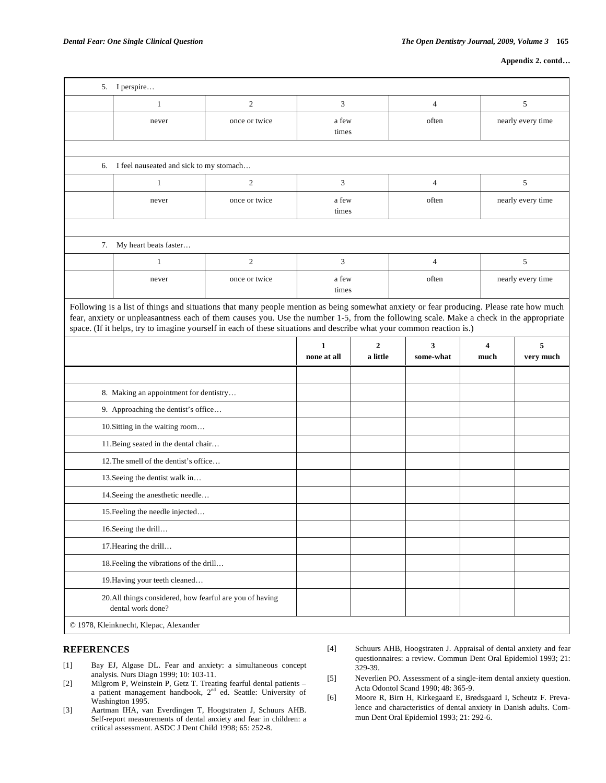```
Appendix 2. contd…
```

| 3<br>5<br>$\mathbf{1}$<br>$\boldsymbol{2}$<br>$\overline{4}$<br>once or twice<br>a few<br>often<br>nearly every time<br>never<br>times<br>6. I feel nauseated and sick to my stomach<br>$\mathbf{2}$<br>3<br>5<br>$\overline{4}$<br>1<br>once or twice<br>a few<br>often<br>nearly every time<br>never<br>times<br>7.<br>My heart beats faster<br>$\mathfrak{2}$<br>3<br>$\overline{4}$<br>5<br>1<br>once or twice<br>a few<br>often<br>nearly every time<br>never<br>times<br>space. (If it helps, try to imagine yourself in each of these situations and describe what your common reaction is.)<br>5<br>$\overline{2}$<br>3<br>$\mathbf{1}$<br>4<br>a little<br>none at all<br>some-what<br>much<br>very much<br>8. Making an appointment for dentistry<br>9. Approaching the dentist's office<br>10. Sitting in the waiting room<br>11. Being seated in the dental chair<br>12. The smell of the dentist's office<br>13. Seeing the dentist walk in<br>14. Seeing the anesthetic needle |                                 | 5. I perspire                                                                                                                                                                                                                                                                     |  |  |  |  |  |  |  |  |
|----------------------------------------------------------------------------------------------------------------------------------------------------------------------------------------------------------------------------------------------------------------------------------------------------------------------------------------------------------------------------------------------------------------------------------------------------------------------------------------------------------------------------------------------------------------------------------------------------------------------------------------------------------------------------------------------------------------------------------------------------------------------------------------------------------------------------------------------------------------------------------------------------------------------------------------------------------------------------------------------|---------------------------------|-----------------------------------------------------------------------------------------------------------------------------------------------------------------------------------------------------------------------------------------------------------------------------------|--|--|--|--|--|--|--|--|
|                                                                                                                                                                                                                                                                                                                                                                                                                                                                                                                                                                                                                                                                                                                                                                                                                                                                                                                                                                                              |                                 |                                                                                                                                                                                                                                                                                   |  |  |  |  |  |  |  |  |
|                                                                                                                                                                                                                                                                                                                                                                                                                                                                                                                                                                                                                                                                                                                                                                                                                                                                                                                                                                                              |                                 |                                                                                                                                                                                                                                                                                   |  |  |  |  |  |  |  |  |
|                                                                                                                                                                                                                                                                                                                                                                                                                                                                                                                                                                                                                                                                                                                                                                                                                                                                                                                                                                                              |                                 |                                                                                                                                                                                                                                                                                   |  |  |  |  |  |  |  |  |
|                                                                                                                                                                                                                                                                                                                                                                                                                                                                                                                                                                                                                                                                                                                                                                                                                                                                                                                                                                                              |                                 |                                                                                                                                                                                                                                                                                   |  |  |  |  |  |  |  |  |
|                                                                                                                                                                                                                                                                                                                                                                                                                                                                                                                                                                                                                                                                                                                                                                                                                                                                                                                                                                                              |                                 |                                                                                                                                                                                                                                                                                   |  |  |  |  |  |  |  |  |
|                                                                                                                                                                                                                                                                                                                                                                                                                                                                                                                                                                                                                                                                                                                                                                                                                                                                                                                                                                                              |                                 |                                                                                                                                                                                                                                                                                   |  |  |  |  |  |  |  |  |
|                                                                                                                                                                                                                                                                                                                                                                                                                                                                                                                                                                                                                                                                                                                                                                                                                                                                                                                                                                                              |                                 |                                                                                                                                                                                                                                                                                   |  |  |  |  |  |  |  |  |
|                                                                                                                                                                                                                                                                                                                                                                                                                                                                                                                                                                                                                                                                                                                                                                                                                                                                                                                                                                                              |                                 |                                                                                                                                                                                                                                                                                   |  |  |  |  |  |  |  |  |
|                                                                                                                                                                                                                                                                                                                                                                                                                                                                                                                                                                                                                                                                                                                                                                                                                                                                                                                                                                                              |                                 |                                                                                                                                                                                                                                                                                   |  |  |  |  |  |  |  |  |
|                                                                                                                                                                                                                                                                                                                                                                                                                                                                                                                                                                                                                                                                                                                                                                                                                                                                                                                                                                                              |                                 |                                                                                                                                                                                                                                                                                   |  |  |  |  |  |  |  |  |
|                                                                                                                                                                                                                                                                                                                                                                                                                                                                                                                                                                                                                                                                                                                                                                                                                                                                                                                                                                                              |                                 | Following is a list of things and situations that many people mention as being somewhat anxiety or fear producing. Please rate how much<br>fear, anxiety or unpleasantness each of them causes you. Use the number 1-5, from the following scale. Make a check in the appropriate |  |  |  |  |  |  |  |  |
|                                                                                                                                                                                                                                                                                                                                                                                                                                                                                                                                                                                                                                                                                                                                                                                                                                                                                                                                                                                              |                                 |                                                                                                                                                                                                                                                                                   |  |  |  |  |  |  |  |  |
|                                                                                                                                                                                                                                                                                                                                                                                                                                                                                                                                                                                                                                                                                                                                                                                                                                                                                                                                                                                              |                                 |                                                                                                                                                                                                                                                                                   |  |  |  |  |  |  |  |  |
|                                                                                                                                                                                                                                                                                                                                                                                                                                                                                                                                                                                                                                                                                                                                                                                                                                                                                                                                                                                              |                                 |                                                                                                                                                                                                                                                                                   |  |  |  |  |  |  |  |  |
|                                                                                                                                                                                                                                                                                                                                                                                                                                                                                                                                                                                                                                                                                                                                                                                                                                                                                                                                                                                              |                                 |                                                                                                                                                                                                                                                                                   |  |  |  |  |  |  |  |  |
|                                                                                                                                                                                                                                                                                                                                                                                                                                                                                                                                                                                                                                                                                                                                                                                                                                                                                                                                                                                              |                                 |                                                                                                                                                                                                                                                                                   |  |  |  |  |  |  |  |  |
|                                                                                                                                                                                                                                                                                                                                                                                                                                                                                                                                                                                                                                                                                                                                                                                                                                                                                                                                                                                              |                                 |                                                                                                                                                                                                                                                                                   |  |  |  |  |  |  |  |  |
|                                                                                                                                                                                                                                                                                                                                                                                                                                                                                                                                                                                                                                                                                                                                                                                                                                                                                                                                                                                              |                                 |                                                                                                                                                                                                                                                                                   |  |  |  |  |  |  |  |  |
|                                                                                                                                                                                                                                                                                                                                                                                                                                                                                                                                                                                                                                                                                                                                                                                                                                                                                                                                                                                              |                                 |                                                                                                                                                                                                                                                                                   |  |  |  |  |  |  |  |  |
|                                                                                                                                                                                                                                                                                                                                                                                                                                                                                                                                                                                                                                                                                                                                                                                                                                                                                                                                                                                              |                                 |                                                                                                                                                                                                                                                                                   |  |  |  |  |  |  |  |  |
|                                                                                                                                                                                                                                                                                                                                                                                                                                                                                                                                                                                                                                                                                                                                                                                                                                                                                                                                                                                              | 15. Feeling the needle injected |                                                                                                                                                                                                                                                                                   |  |  |  |  |  |  |  |  |
| 16. Seeing the drill                                                                                                                                                                                                                                                                                                                                                                                                                                                                                                                                                                                                                                                                                                                                                                                                                                                                                                                                                                         |                                 |                                                                                                                                                                                                                                                                                   |  |  |  |  |  |  |  |  |
| 17. Hearing the drill                                                                                                                                                                                                                                                                                                                                                                                                                                                                                                                                                                                                                                                                                                                                                                                                                                                                                                                                                                        |                                 |                                                                                                                                                                                                                                                                                   |  |  |  |  |  |  |  |  |
| 18. Feeling the vibrations of the drill                                                                                                                                                                                                                                                                                                                                                                                                                                                                                                                                                                                                                                                                                                                                                                                                                                                                                                                                                      |                                 |                                                                                                                                                                                                                                                                                   |  |  |  |  |  |  |  |  |
| 19. Having your teeth cleaned                                                                                                                                                                                                                                                                                                                                                                                                                                                                                                                                                                                                                                                                                                                                                                                                                                                                                                                                                                |                                 |                                                                                                                                                                                                                                                                                   |  |  |  |  |  |  |  |  |
| 20.All things considered, how fearful are you of having<br>dental work done?                                                                                                                                                                                                                                                                                                                                                                                                                                                                                                                                                                                                                                                                                                                                                                                                                                                                                                                 |                                 |                                                                                                                                                                                                                                                                                   |  |  |  |  |  |  |  |  |
| © 1978, Kleinknecht, Klepac, Alexander                                                                                                                                                                                                                                                                                                                                                                                                                                                                                                                                                                                                                                                                                                                                                                                                                                                                                                                                                       |                                 |                                                                                                                                                                                                                                                                                   |  |  |  |  |  |  |  |  |

### **REFERENCES**

- [1] Bay EJ, Algase DL. Fear and anxiety: a simultaneous concept analysis. Nurs Diagn 1999; 10: 103-11.
- [2] Milgrom P, Weinstein P, Getz T. Treating fearful dental patients a patient management handbook, 2<sup>nd</sup> ed. Seattle: University of Washington 1995.
- [3] Aartman IHA, van Everdingen T, Hoogstraten J, Schuurs AHB. Self-report measurements of dental anxiety and fear in children: a critical assessment. ASDC J Dent Child 1998; 65: 252-8.
- [4] Schuurs AHB, Hoogstraten J. Appraisal of dental anxiety and fear questionnaires: a review. Commun Dent Oral Epidemiol 1993; 21: 329-39.
- [5] Neverlien PO. Assessment of a single-item dental anxiety question. Acta Odontol Scand 1990; 48: 365-9.

[6] Moore R, Birn H, Kirkegaard E, Brødsgaard I, Scheutz F. Prevalence and characteristics of dental anxiety in Danish adults. Commun Dent Oral Epidemiol 1993; 21: 292-6.